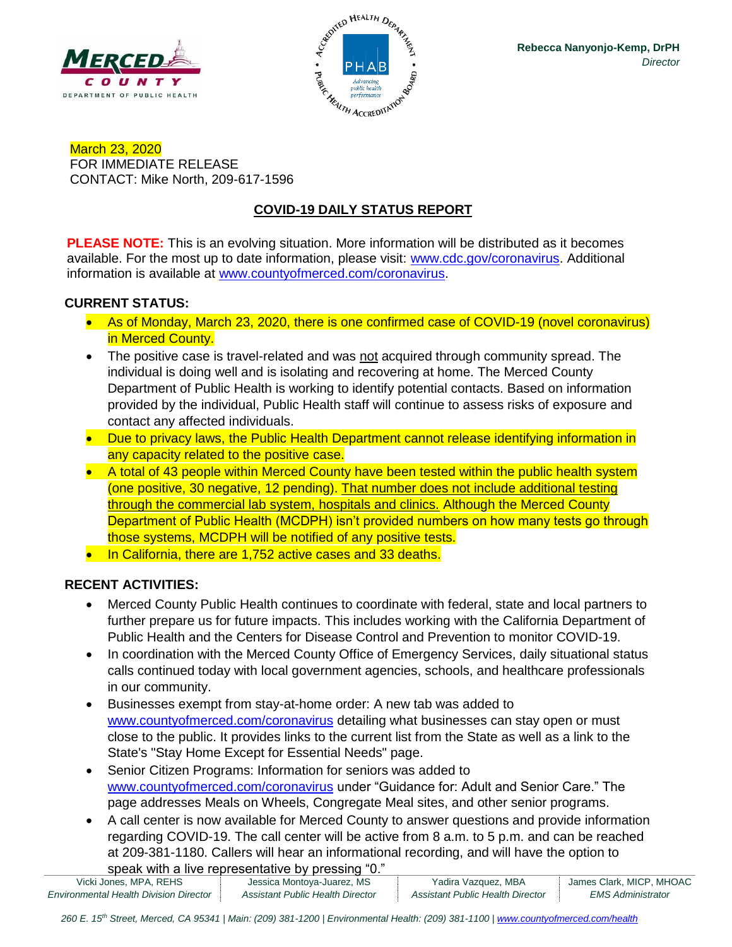



March 23, 2020 FOR IMMEDIATE RELEASE CONTACT: Mike North, 209-617-1596

# **COVID-19 DAILY STATUS REPORT**

**PLEASE NOTE:** This is an evolving situation. More information will be distributed as it becomes available. For the most up to date information, please visit: [www.cdc.gov/coronavirus.](http://www.cdc.gov/coronavirus) Additional information is available at [www.countyofmerced.com/coronavirus.](http://www.countyofmerced.com/coronavirus)

#### **CURRENT STATUS:**

- As of Monday, March 23, 2020, there is one confirmed case of COVID-19 (novel coronavirus) in Merced County.
- The positive case is travel-related and was not acquired through community spread. The individual is doing well and is isolating and recovering at home. The Merced County Department of Public Health is working to identify potential contacts. Based on information provided by the individual, Public Health staff will continue to assess risks of exposure and contact any affected individuals.
- Due to privacy laws, the Public Health Department cannot release identifying information in any capacity related to the positive case.
- A total of 43 people within Merced County have been tested within the public health system (one positive, 30 negative, 12 pending). That number does not include additional testing through the commercial lab system, hospitals and clinics. Although the Merced County Department of Public Health (MCDPH) isn't provided numbers on how many tests go through those systems, MCDPH will be notified of any positive tests.

• In California, there are 1,752 active cases and 33 deaths.

#### **RECENT ACTIVITIES:**

- Merced County Public Health continues to coordinate with federal, state and local partners to further prepare us for future impacts. This includes working with the California Department of Public Health and the Centers for Disease Control and Prevention to monitor COVID-19.
- In coordination with the Merced County Office of Emergency Services, daily situational status calls continued today with local government agencies, schools, and healthcare professionals in our community.
- Businesses exempt from stay-at-home order: A new tab was added to [www.countyofmerced.com/coronavirus](http://www.countyofmerced.com/coronavirus) detailing what businesses can stay open or must close to the public. It provides links to the current list from the State as well as a link to the State's "Stay Home Except for Essential Needs" page.
- Senior Citizen Programs: Information for seniors was added to [www.countyofmerced.com/coronavirus](http://www.countyofmerced.com/coronavirus) under "Guidance for: Adult and Senior Care." The page addresses Meals on Wheels, Congregate Meal sites, and other senior programs.
- A call center is now available for Merced County to answer questions and provide information regarding COVID-19. The call center will be active from 8 a.m. to 5 p.m. and can be reached at 209-381-1180. Callers will hear an informational recording, and will have the option to speak with a live representative by pressing "0."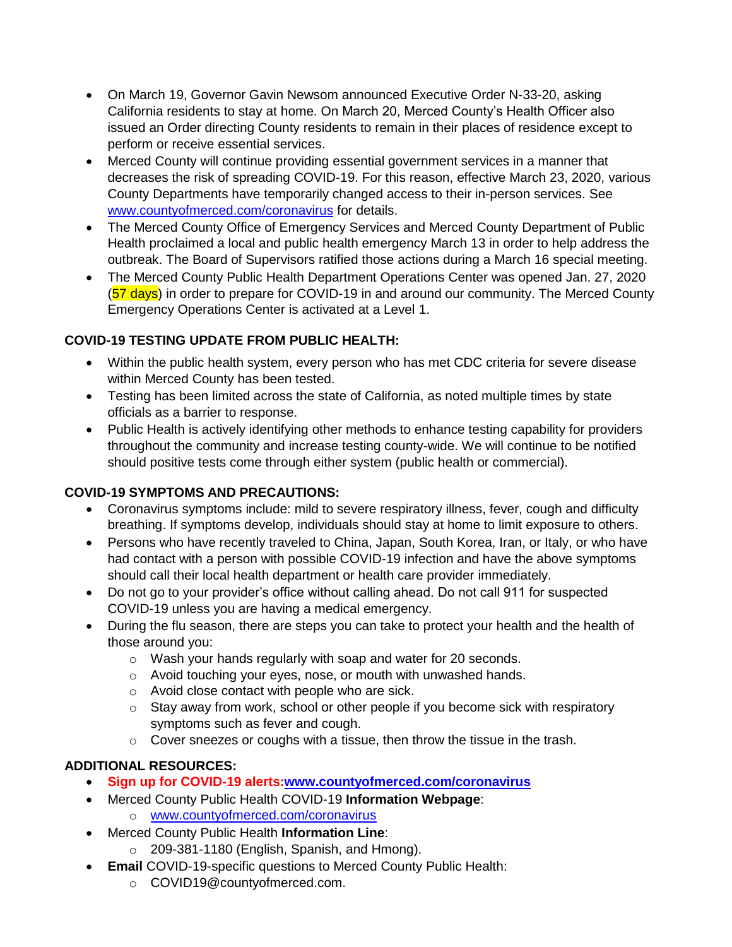- On March 19, Governor Gavin Newsom announced Executive Order N-33-20, asking California residents to stay at home. On March 20, Merced County's Health Officer also issued an Order directing County residents to remain in their places of residence except to perform or receive essential services.
- Merced County will continue providing essential government services in a manner that decreases the risk of spreading COVID-19. For this reason, effective March 23, 2020, various County Departments have temporarily changed access to their in-person services. See [www.countyofmerced.com/coronavirus](http://www.countyofmerced.com/coronavirus) for details.
- The Merced County Office of Emergency Services and Merced County Department of Public Health proclaimed a local and public health emergency March 13 in order to help address the outbreak. The Board of Supervisors ratified those actions during a March 16 special meeting.
- The Merced County Public Health Department Operations Center was opened Jan. 27, 2020 (57 days) in order to prepare for COVID-19 in and around our community. The Merced County Emergency Operations Center is activated at a Level 1.

### **COVID-19 TESTING UPDATE FROM PUBLIC HEALTH:**

- Within the public health system, every person who has met CDC criteria for severe disease within Merced County has been tested.
- Testing has been limited across the state of California, as noted multiple times by state officials as a barrier to response.
- Public Health is actively identifying other methods to enhance testing capability for providers throughout the community and increase testing county-wide. We will continue to be notified should positive tests come through either system (public health or commercial).

#### **COVID-19 SYMPTOMS AND PRECAUTIONS:**

- Coronavirus symptoms include: mild to severe respiratory illness, fever, cough and difficulty breathing. If symptoms develop, individuals should stay at home to limit exposure to others.
- Persons who have recently traveled to China, Japan, South Korea, Iran, or Italy, or who have had contact with a person with possible COVID-19 infection and have the above symptoms should call their local health department or health care provider immediately.
- Do not go to your provider's office without calling ahead. Do not call 911 for suspected COVID-19 unless you are having a medical emergency.
- During the flu season, there are steps you can take to protect your health and the health of those around you:
	- o Wash your hands regularly with soap and water for 20 seconds.
	- o Avoid touching your eyes, nose, or mouth with unwashed hands.
	- o Avoid close contact with people who are sick.
	- $\circ$  Stay away from work, school or other people if you become sick with respiratory symptoms such as fever and cough.
	- o Cover sneezes or coughs with a tissue, then throw the tissue in the trash.

## **ADDITIONAL RESOURCES:**

- **Sign up for COVID-19 alerts[:www.countyofmerced.com/coronavirus](http://www.countyofmerced.com/coronavirus)**
- Merced County Public Health COVID-19 **Information Webpage**:
	- o [www.countyofmerced.com/coronavirus](http://www.countyofmerced.com/coronavirus)
- Merced County Public Health **Information Line**:
	- o 209-381-1180 (English, Spanish, and Hmong).
- **Email** COVID-19-specific questions to Merced County Public Health:
	- o COVID19@countyofmerced.com.